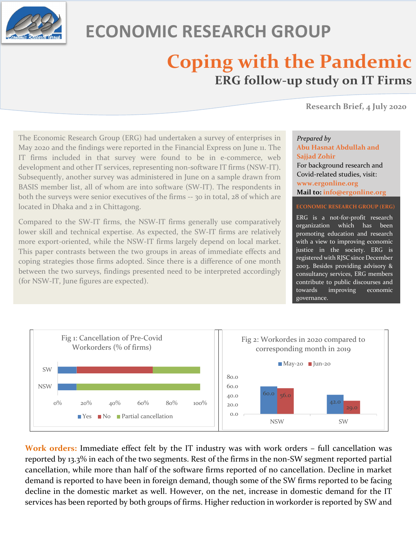

# **ECONOMIC RESEARCH GROUP**

## **Coping with the Pandemic ERG follow-up study on IT Firms**

**Research Brief, 4 July <sup>2020</sup>**

The Economic Research Group (ERG) had undertaken a survey of enterprises in May 2020 and the findings were reported in the Financial Express on June 11. The IT firms included in that survey were found to be in e-commerce, web development and other IT services, representing non-software IT firms (NSW-IT). Subsequently, another survey was administered in June on a sample drawn from BASIS member list, all of whom are into software (SW-IT). The respondents in both the surveys were senior executives of the firms -- 30 in total, 28 of which are located in Dhaka and 2 in Chittagong.

Compared to the SW-IT firms, the NSW-IT firms generally use comparatively lower skill and technical expertise. As expected, the SW-IT firms are relatively more export-oriented, while the NSW-IT firms largely depend on local market. This paper contrasts between the two groups in areas of immediate effects and coping strategies those firms adopted. Since there is a difference of one month between the two surveys, findings presented need to be interpreted accordingly (for NSW-IT, June figures are expected).

## *Prepared by* **Abu Hasnat Abdullah and Sajjad Zohir** For background research and Covid-related studies, visit: **www.ergonline.org Mail to: info@ergonline.org**

#### **ECONOMIC RESEARCH GROUP (ERG)**

ERG is a not-for-profit research organization which has been promoting education and research with a view to improving economic justice in the society. ERG is registered with RJSC since December 2003. Besides providing advisory & consultancy services, ERG members contribute to public discourses and towards improving economic governance.



**Work orders:** Immediate effect felt by the IT industry was with work orders – full cancellation was reported by 13.3% in each of the two segments. Rest of the firms in the non-SW segment reported partial cancellation, while more than half of the software firms reported of no cancellation. Decline in market demand is reported to have been in foreign demand, though some of the SW firms reported to be facing decline in the domestic market as well. However, on the net, increase in domestic demand for the IT services has been reported by both groups of firms. Higher reduction in workorder is reported by SW and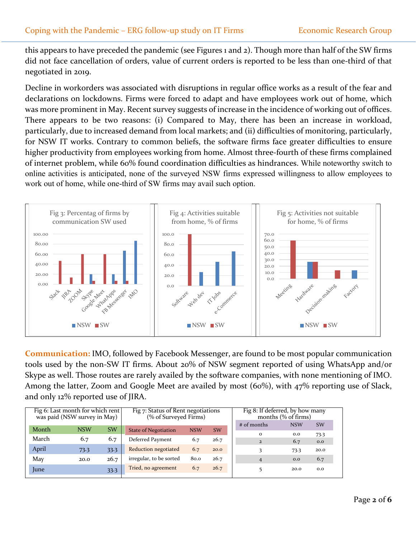this appears to have preceded the pandemic (see Figures 1 and 2). Though more than half of the SW firms did not face cancellation of orders, value of current orders is reported to be less than one-third of that negotiated in 2019.

Decline in workorders was associated with disruptions in regular office works as a result of the fear and declarations on lockdowns. Firms were forced to adapt and have employees work out of home, which was more prominent in May. Recent survey suggests of increase in the incidence of working out of offices. There appears to be two reasons: (i) Compared to May, there has been an increase in workload, particularly, due to increased demand from local markets; and (ii) difficulties of monitoring, particularly, for NSW IT works. Contrary to common beliefs, the software firms face greater difficulties to ensure higher productivity from employees working from home. Almost three-fourth of these firms complained of internet problem, while 60% found coordination difficulties as hindrances. While noteworthy switch to online activities is anticipated, none of the surveyed NSW firms expressed willingness to allow employees to work out of home, while one-third of SW firms may avail such option.



**Communication:** IMO, followed by Facebook Messenger, are found to be most popular communication tools used by the non-SW IT firms. About 20% of NSW segment reported of using WhatsApp and/or Skype as well. Those routes are rarely availed by the software companies, with none mentioning of IMO. Among the latter, Zoom and Google Meet are availed by most (60%), with 47% reporting use of Slack, and only 12% reported use of JIRA.

| Fig 6: Last month for which rent<br>was paid (NSW survey in May) |            |           | Fig 7: Status of Rent negotiations<br>(% of Surveyed Firms) |            |           | $\overline{Fig}$ 8: If deferred, by how many<br>months $(\%$ of firms) |            |             |
|------------------------------------------------------------------|------------|-----------|-------------------------------------------------------------|------------|-----------|------------------------------------------------------------------------|------------|-------------|
| Month                                                            | <b>NSW</b> | <b>SW</b> | <b>State of Negotiation</b>                                 | <b>NSW</b> | <b>SW</b> | # of months                                                            | <b>NSW</b> | <b>SW</b>   |
| March                                                            | 6.7        | 6.7       | Deferred Payment                                            | 6.7        | 26.7      | $\Omega$<br>$\overline{2}$                                             | 0.0<br>6.7 | 73.3<br>0.0 |
| April                                                            | 73.3       | 33.3      | <b>Reduction negotiated</b>                                 | 6.7        | 20.0      |                                                                        | 73.3       | 20.0        |
| May                                                              | 20.0       | 26.7      | irregular, to be sorted                                     | 80.0       | 26.7      | $\overline{4}$                                                         | 0.0        | 6.7         |
| June                                                             |            | 33.3      | Tried, no agreement                                         | 6.7        | 26.7      |                                                                        | 20.0       | 0.0         |
|                                                                  |            |           |                                                             |            |           |                                                                        |            |             |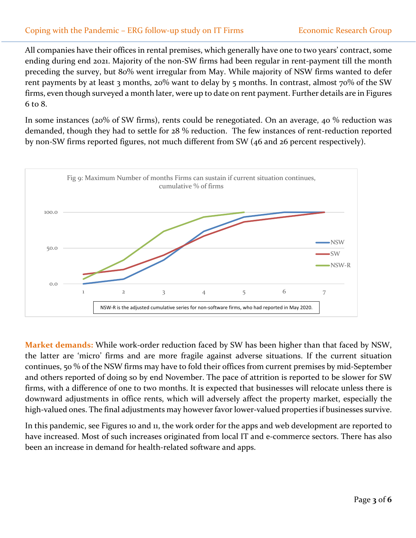## Coping with the Pandemic - ERG follow-up study on IT Firms Economic Research Group

All companies have their offices in rental premises, which generally have one to two years' contract, some ending during end 2021. Majority of the non-SW firms had been regular in rent-payment till the month preceding the survey, but 80% went irregular from May. While majority of NSW firms wanted to defer rent payments by at least 3 months, 20% want to delay by 5 months. In contrast, almost 70% of the SW firms, even though surveyed a month later, were up to date on rent payment. Further details are in Figures 6 to 8.

In some instances (20% of SW firms), rents could be renegotiated. On an average, 40 % reduction was demanded, though they had to settle for 28 % reduction. The few instances of rent-reduction reported by non-SW firms reported figures, not much different from SW (46 and 26 percent respectively).



**Market demands:** While work-order reduction faced by SW has been higher than that faced by NSW, the latter are 'micro' firms and are more fragile against adverse situations. If the current situation continues, 50 % of the NSW firms may have to fold their offices from current premises by mid-September and others reported of doing so by end November. The pace of attrition is reported to be slower for SW firms, with a difference of one to two months. It is expected that businesses will relocate unless there is downward adjustments in office rents, which will adversely affect the property market, especially the high-valued ones. The final adjustments may however favor lower-valued properties if businesses survive.

In this pandemic, see Figures 10 and 11, the work order for the apps and web development are reported to have increased. Most of such increases originated from local IT and e-commerce sectors. There has also been an increase in demand for health-related software and apps.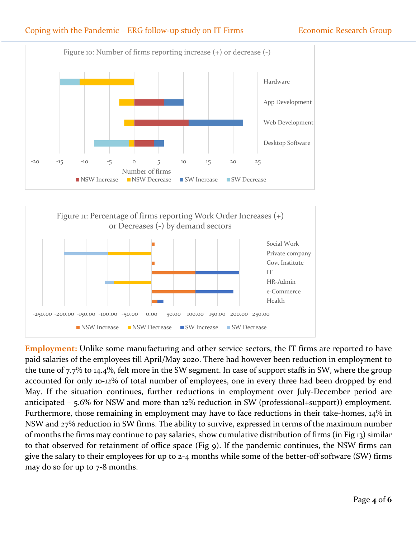## Coping with the Pandemic – ERG follow-up study on IT Firms Economic Research Group





**Employment:** Unlike some manufacturing and other service sectors, the IT firms are reported to have paid salaries of the employees till April/May 2020. There had however been reduction in employment to the tune of 7.7% to 14.4%, felt more in the SW segment. In case of support staffs in SW, where the group accounted for only 10-12% of total number of employees, one in every three had been dropped by end May. If the situation continues, further reductions in employment over July-December period are anticipated – 5.6% for NSW and more than 12% reduction in SW (professional+support)) employment. Furthermore, those remaining in employment may have to face reductions in their take-homes, 14% in NSW and 27% reduction in SW firms. The ability to survive, expressed in terms of the maximum number of months the firms may continue to pay salaries, show cumulative distribution of firms (in Fig 13) similar to that observed for retainment of office space (Fig 9). If the pandemic continues, the NSW firms can give the salary to their employees for up to 2-4 months while some of the better-off software (SW) firms may do so for up to 7-8 months.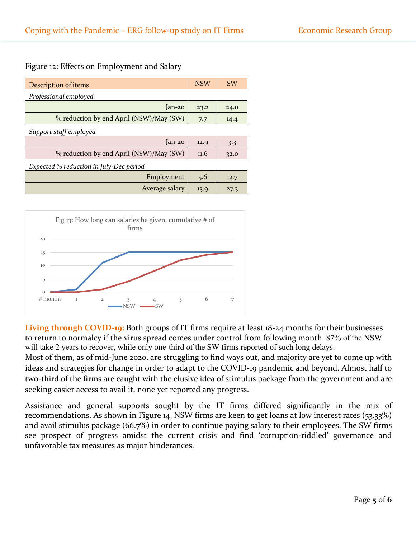### Figure 12: Effects on Employment and Salary

| <b>Description of items</b>             | <b>NSW</b> | <b>SW</b> |  |  |  |  |  |  |
|-----------------------------------------|------------|-----------|--|--|--|--|--|--|
| Professional employed                   |            |           |  |  |  |  |  |  |
| $lan-20$                                | 23.2       | 24.0      |  |  |  |  |  |  |
| % reduction by end April (NSW)/May (SW) | 7.7        | 14.4      |  |  |  |  |  |  |
| Support staff employed                  |            |           |  |  |  |  |  |  |
| $lan-20$                                | 12.9       | 3.3       |  |  |  |  |  |  |
| % reduction by end April (NSW)/May (SW) | 11.6       | 32.0      |  |  |  |  |  |  |
| Expected % reduction in July-Dec period |            |           |  |  |  |  |  |  |
| Employment                              | 5.6        | 12.7      |  |  |  |  |  |  |
| Average salary                          | 13.9       | 27.3      |  |  |  |  |  |  |



**Living through COVID-19:** Both groups of IT firms require at least 18-24 months for their businesses to return to normalcy if the virus spread comes under control from following month. 87% of the NSW will take 2 years to recover, while only one-third of the SW firms reported of such long delays.

Most of them, as of mid-June 2020, are struggling to find ways out, and majority are yet to come up with ideas and strategies for change in order to adapt to the COVID-19 pandemic and beyond. Almost half to two-third of the firms are caught with the elusive idea of stimulus package from the government and are seeking easier access to avail it, none yet reported any progress.

Assistance and general supports sought by the IT firms differed significantly in the mix of recommendations. As shown in Figure 14, NSW firms are keen to get loans at low interest rates (53.33%) and avail stimulus package (66.7%) in order to continue paying salary to their employees. The SW firms see prospect of progress amidst the current crisis and find 'corruption-riddled' governance and unfavorable tax measures as major hinderances.